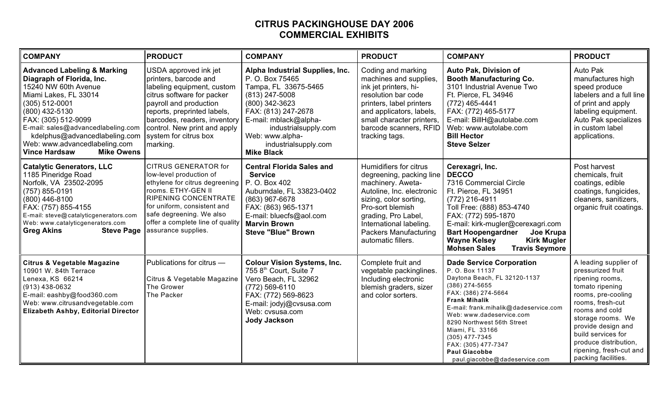## **CITRUS PACKINGHOUSE DAY 2006 COMMERCIAL EXHIBITS**

| <b>COMPANY</b>                                                                                                                                                                                                                                                                                                                  | <b>PRODUCT</b>                                                                                                                                                                                                                                                           | <b>COMPANY</b>                                                                                                                                                                                                                                           | <b>PRODUCT</b>                                                                                                                                                                                                                                      | <b>COMPANY</b>                                                                                                                                                                                                                                                                                                                                                                 | <b>PRODUCT</b>                                                                                                                                                                                                                                                                           |
|---------------------------------------------------------------------------------------------------------------------------------------------------------------------------------------------------------------------------------------------------------------------------------------------------------------------------------|--------------------------------------------------------------------------------------------------------------------------------------------------------------------------------------------------------------------------------------------------------------------------|----------------------------------------------------------------------------------------------------------------------------------------------------------------------------------------------------------------------------------------------------------|-----------------------------------------------------------------------------------------------------------------------------------------------------------------------------------------------------------------------------------------------------|--------------------------------------------------------------------------------------------------------------------------------------------------------------------------------------------------------------------------------------------------------------------------------------------------------------------------------------------------------------------------------|------------------------------------------------------------------------------------------------------------------------------------------------------------------------------------------------------------------------------------------------------------------------------------------|
| <b>Advanced Labeling &amp; Marking</b><br>Diagraph of Florida, Inc.<br>15240 NW 60th Avenue<br>Miami Lakes, FL 33014<br>$(305)$ 512-0001<br>(800) 432-5130<br>FAX: (305) 512-9099<br>E-mail: sales@advancedlabeling.com<br>kdelphus@advancedlabeling.com<br>Web: www.advancedlabeling.com<br><b>Mike Owens</b><br>Vince Hardsaw | USDA approved ink jet<br>printers, barcode and<br>labeling equipment, custom<br>citrus software for packer<br>payroll and production<br>reports, preprinted labels,<br>barcodes, readers, inventory<br>control. New print and apply<br>system for citrus box<br>marking. | Alpha Industrial Supplies, Inc.<br>P. O. Box 75465<br>Tampa, FL 33675-5465<br>$(813)$ 247-5008<br>(800) 342-3623<br>FAX: (813) 247-2678<br>E-mail: mblack@alpha-<br>industrialsupply.com<br>Web: www.alpha-<br>industrialsupply.com<br><b>Mike Black</b> | Coding and marking<br>machines and supplies,<br>ink jet printers, hi-<br>resolution bar code<br>printers, label printers<br>and applicators, labels,<br>small character printers,<br>barcode scanners, RFID<br>tracking tags.                       | <b>Auto Pak, Division of</b><br><b>Booth Manufacturing Co.</b><br>3101 Industrial Avenue Two<br>Ft. Pierce, FL 34946<br>(772) 465-4441<br>FAX: (772) 465-5177<br>E-mail: BillH@autolabe.com<br>Web: www.autolabe.com<br><b>Bill Hector</b><br><b>Steve Selzer</b>                                                                                                              | Auto Pak<br>manufactures high<br>speed produce<br>labelers and a full line<br>of print and apply<br>labeling equipment.<br>Auto Pak specializes<br>in custom label<br>applications.                                                                                                      |
| <b>Catalytic Generators, LLC</b><br>1185 Pineridge Road<br>Norfolk, VA 23502-2095<br>$(757) 855 - 0191$<br>$(800)$ 446-8100<br>FAX: (757) 855-4155<br>E-mail: steve@catalyticgenerators.com<br>Web: www.catalyticgenerators.com<br>Greg Akins<br><b>Steve Page</b>                                                              | <b>CITRUS GENERATOR for</b><br>low-level production of<br>ethylene for citrus degreening<br>rooms. ETHY-GEN II<br><b>RIPENING CONCENTRATE</b><br>for uniform, consistent and<br>safe degreening. We also<br>offer a complete line of quality<br>assurance supplies.      | <b>Central Florida Sales and</b><br><b>Service</b><br>P. O. Box 402<br>Auburndale, FL 33823-0402<br>(863) 967-6678<br>FAX: (863) 965-1371<br>E-mail: bluecfs@aol.com<br><b>Marvin Brown</b><br><b>Steve "Blue" Brown</b>                                 | Humidifiers for citrus<br>degreening, packing line<br>machinery. Aweta-<br>Autoline, Inc. electronic<br>sizing, color sorting,<br>Pro-sort blemish<br>grading, Pro Label,<br>International labeling.<br>Packers Manufacturing<br>automatic fillers. | Cerexagri, Inc.<br><b>DECCO</b><br>7316 Commercial Circle<br>Ft. Pierce, FL 34951<br>(772) 216-4911<br>Toll Free: (888) 853-4740<br>FAX: (772) 595-1870<br>E-mail: kirk-mugler@cerexagri.com<br><b>Bart Hoopengardner</b><br>Joe Krupa<br><b>Wayne Kelsey</b><br><b>Kirk Mugler</b><br><b>Mohsen Sales</b><br><b>Travis Seymore</b>                                            | Post harvest<br>chemicals, fruit<br>coatings, edible<br>coatings, fungicides,<br>cleaners, sanitizers,<br>organic fruit coatings.                                                                                                                                                        |
| <b>Citrus &amp; Vegetable Magazine</b><br>10901 W. 84th Terrace<br>Lenexa, KS 66214<br>$(913)$ 438-0632<br>E-mail: eashby@food360.com<br>Web: www.citrusandvegetable.com<br><b>Elizabeth Ashby, Editorial Director</b>                                                                                                          | Publications for citrus -<br>Citrus & Vegetable Magazine<br>The Grower<br>The Packer                                                                                                                                                                                     | <b>Colour Vision Systems, Inc.</b><br>755 8th Court, Suite 7<br>Vero Beach, FL 32962<br>(772) 569-6110<br>FAX: (772) 569-8623<br>E-mail: jodyj@cvsusa.com<br>Web: cvsusa.com<br><b>Jody Jackson</b>                                                      | Complete fruit and<br>vegetable packinglines.<br>Including electronic<br>blemish graders, sizer<br>and color sorters.                                                                                                                               | <b>Dade Service Corporation</b><br>P.O. Box 11137<br>Daytona Beach, FL 32120-1137<br>$(386)$ 274-5655<br>FAX: (386) 274-5664<br><b>Frank Mihalik</b><br>E-mail: frank.mihalik@dadeservice.com<br>Web: www.dadeservice.com<br>8290 Northwest 56th Street<br>Miami, FL 33166<br>$(305)$ 477-7345<br>FAX: (305) 477-7347<br><b>Paul Giacobbe</b><br>paul.giacobbe@dadeservice.com | A leading supplier of<br>pressurized fruit<br>ripening rooms,<br>tomato ripening<br>rooms, pre-cooling<br>rooms, fresh-cut<br>rooms and cold<br>storage rooms. We<br>provide design and<br>build services for<br>produce distribution,<br>ripening, fresh-cut and<br>packing facilities. |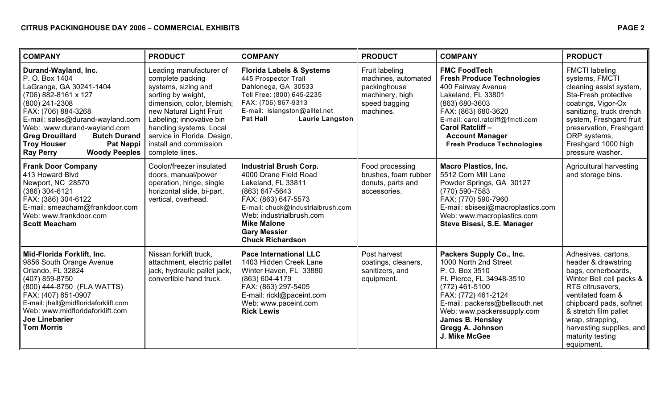| <b>COMPANY</b>                                                                                                                                                                                                                                                                                                                               | <b>PRODUCT</b>                                                                                                                                                                                                                                                                       | <b>COMPANY</b>                                                                                                                                                                                                                                                 | <b>PRODUCT</b>                                                                                         | <b>COMPANY</b>                                                                                                                                                                                                                                                                     | <b>PRODUCT</b>                                                                                                                                                                                                                                                               |
|----------------------------------------------------------------------------------------------------------------------------------------------------------------------------------------------------------------------------------------------------------------------------------------------------------------------------------------------|--------------------------------------------------------------------------------------------------------------------------------------------------------------------------------------------------------------------------------------------------------------------------------------|----------------------------------------------------------------------------------------------------------------------------------------------------------------------------------------------------------------------------------------------------------------|--------------------------------------------------------------------------------------------------------|------------------------------------------------------------------------------------------------------------------------------------------------------------------------------------------------------------------------------------------------------------------------------------|------------------------------------------------------------------------------------------------------------------------------------------------------------------------------------------------------------------------------------------------------------------------------|
| Durand-Wayland, Inc.<br>P. O. Box 1404<br>LaGrange, GA 30241-1404<br>(706) 882-8161 x 127<br>(800) 241-2308<br>FAX: (706) 884-3268<br>E-mail: sales@durand-wayland.com<br>Web: www.durand-wayland.com<br><b>Greg Drouillard</b><br><b>Butch Durand</b><br><b>Troy Houser</b><br><b>Pat Nappi</b><br><b>Woody Peeples</b><br><b>Ray Perry</b> | Leading manufacturer of<br>complete packing<br>systems, sizing and<br>sorting by weight,<br>dimension, color, blemish;<br>new Natural Light Fruit<br>Labeling; innovative bin<br>handling systems. Local<br>service in Florida. Design,<br>install and commission<br>complete lines. | <b>Florida Labels &amp; Systems</b><br>445 Prospector Trail<br>Dahlonega, GA 30533<br>Toll Free: (800) 645-2235<br>FAX: (706) 867-9313<br>E-mail: Islangston@alltel.net<br><b>Laurie Langston</b><br><b>Pat Hall</b>                                           | Fruit labeling<br>machines, automated<br>packinghouse<br>machinery, high<br>speed bagging<br>machines. | <b>FMC FoodTech</b><br><b>Fresh Produce Technologies</b><br>400 Fairway Avenue<br>Lakeland, FL 33801<br>(863) 680-3603<br>FAX: (863) 680-3620<br>E-mail: carol.ratcliff@fmcti.com<br>Carol Ratcliff -<br><b>Account Manager</b><br><b>Fresh Produce Technologies</b>               | <b>FMCTI</b> labeling<br>systems, FMCTI<br>cleaning assist system,<br>Sta-Fresh protective<br>coatings, Vigor-Ox<br>sanitizing, truck drench<br>system, Freshgard fruit<br>preservation, Freshgard<br>ORP systems,<br>Freshgard 1000 high<br>pressure washer.                |
| <b>Frank Door Company</b><br>413 Howard Blvd<br>Newport, NC 28570<br>(386) 304-6121<br>FAX: (386) 304-6122<br>E-mail: smeacham@frankdoor.com<br>Web: www.frankdoor.com<br><b>Scott Meacham</b>                                                                                                                                               | Coolor/freezer insulated<br>doors, manual/power<br>operation, hinge, single<br>horizontal slide, bi-part,<br>vertical, overhead.                                                                                                                                                     | <b>Industrial Brush Corp.</b><br>4000 Drane Field Road<br>Lakeland, FL 33811<br>(863) 647-5643<br>FAX: (863) 647-5573<br>E-mail: chuck@industrialbrush.com<br>Web: industrialbrush.com<br><b>Mike Malone</b><br><b>Gary Messier</b><br><b>Chuck Richardson</b> | Food processing<br>brushes, foam rubber<br>donuts, parts and<br>accessories.                           | <b>Macro Plastics, Inc.</b><br>5512 Corn Mill Lane<br>Powder Springs, GA 30127<br>(770) 590-7583<br>FAX: (770) 590-7960<br>E-mail: sbisesi@macroplastics.com<br>Web: www.macroplastics.com<br>Steve Bisesi, S.E. Manager                                                           | Agricultural harvesting<br>and storage bins.                                                                                                                                                                                                                                 |
| Mid-Florida Forklift, Inc.<br>9856 South Orange Avenue<br>Orlando, FL 32824<br>(407) 859-8750<br>(800) 444-8750 (FLA WATTS)<br>FAX: (407) 851-0907<br>E-mail: jhall@midfloridaforklift.com<br>Web: www.midfloridaforklift.com<br><b>Joe Linebarier</b><br><b>Tom Morris</b>                                                                  | Nissan forklift truck,<br>attachment, electric pallet<br>jack, hydraulic pallet jack,<br>convertible hand truck.                                                                                                                                                                     | <b>Pace International LLC</b><br>1403 Hidden Creek Lane<br>Winter Haven, FL 33880<br>(863) 604-4179<br>FAX: (863) 297-5405<br>E-mail: rickl@paceint.com<br>Web: www.paceint.com<br><b>Rick Lewis</b>                                                           | Post harvest<br>coatings, cleaners,<br>sanitizers, and<br>equipment.                                   | Packers Supply Co., Inc.<br>1000 North 2nd Street<br>P. O. Box 3510<br>Ft. Pierce, FL 34948-3510<br>$(772)$ 461-5100<br>FAX: (772) 461-2124<br>E-mail: packerss@bellsouth.net<br>Web: www.packerssupply.com<br><b>James B. Hensley</b><br><b>Gregg A. Johnson</b><br>J. Mike McGee | Adhesives, cartons,<br>header & drawstring<br>bags, cornerboards,<br>Winter Bell cell packs &<br>RTS citrusavers,<br>ventilated foam &<br>chipboard pads, softnet<br>& stretch film pallet<br>wrap, strapping,<br>harvesting supplies, and<br>maturity testing<br>equipment. |